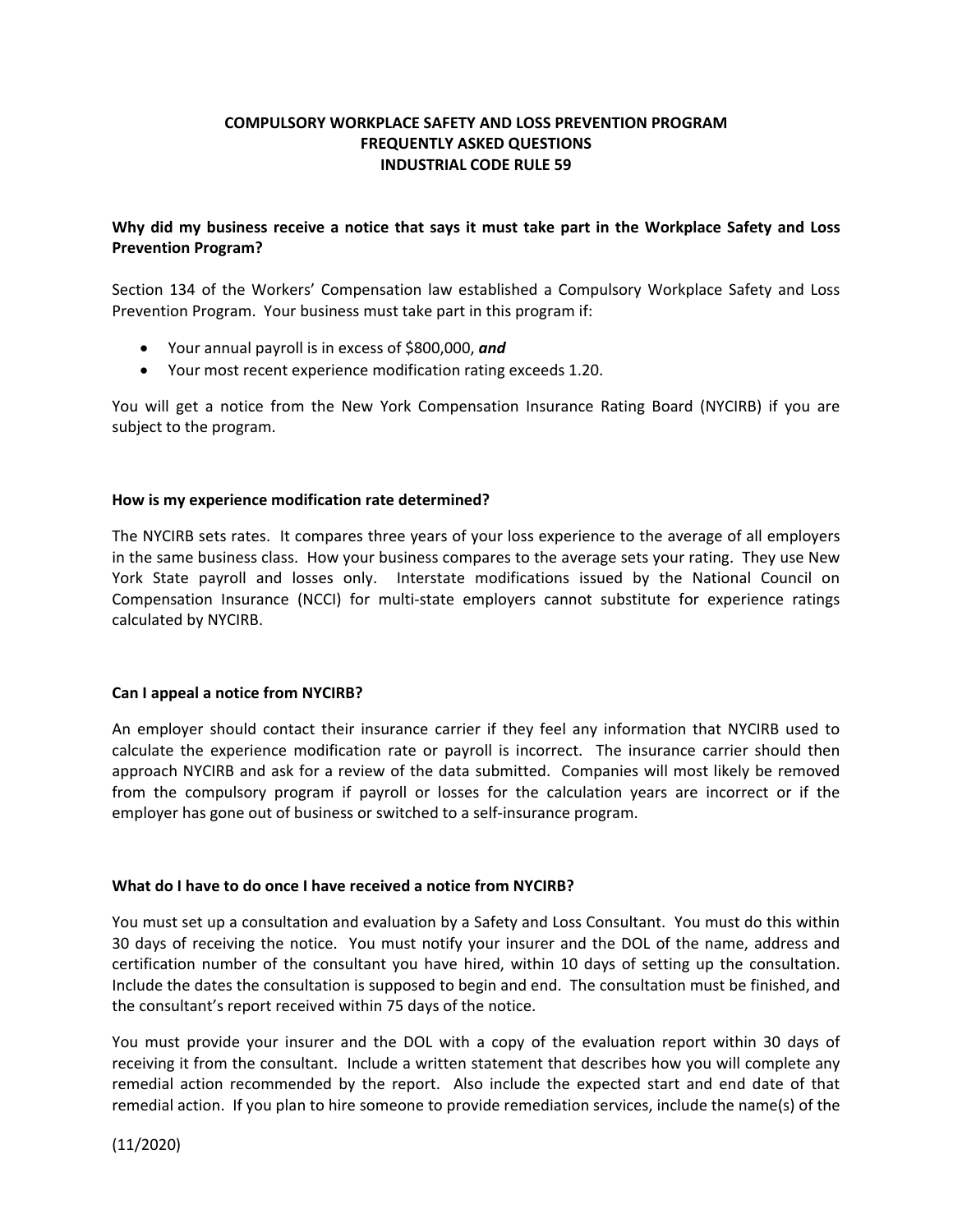# **COMPULSORY WORKPLACE SAFETY AND LOSS PREVENTION PROGRAM FREQUENTLY ASKED QUESTIONS INDUSTRIAL CODE RULE 59**

## **Why did my business receive a notice that says it must take part in the Workplace Safety and Loss Prevention Program?**

Section 134 of the Workers' Compensation law established a Compulsory Workplace Safety and Loss Prevention Program. Your business must take part in this program if:

- Your annual payroll is in excess of \$800,000, *and*
- Your most recent experience modification rating exceeds 1.20.

You will get a notice from the New York Compensation Insurance Rating Board (NYCIRB) if you are subject to the program.

### **How is my experience modification rate determined?**

The NYCIRB sets rates. It compares three years of your loss experience to the average of all employers in the same business class. How your business compares to the average sets your rating. They use New York State payroll and losses only. Interstate modifications issued by the National Council on Compensation Insurance (NCCI) for multi-state employers cannot substitute for experience ratings calculated by NYCIRB.

### **Can I appeal a notice from NYCIRB?**

An employer should contact their insurance carrier if they feel any information that NYCIRB used to calculate the experience modification rate or payroll is incorrect. The insurance carrier should then approach NYCIRB and ask for a review of the data submitted. Companies will most likely be removed from the compulsory program if payroll or losses for the calculation years are incorrect or if the employer has gone out of business or switched to a self-insurance program.

### **What do I have to do once I have received a notice from NYCIRB?**

You must set up a consultation and evaluation by a Safety and Loss Consultant. You must do this within 30 days of receiving the notice. You must notify your insurer and the DOL of the name, address and certification number of the consultant you have hired, within 10 days of setting up the consultation. Include the dates the consultation is supposed to begin and end. The consultation must be finished, and the consultant's report received within 75 days of the notice.

You must provide your insurer and the DOL with a copy of the evaluation report within 30 days of receiving it from the consultant. Include a written statement that describes how you will complete any remedial action recommended by the report. Also include the expected start and end date of that remedial action. If you plan to hire someone to provide remediation services, include the name(s) of the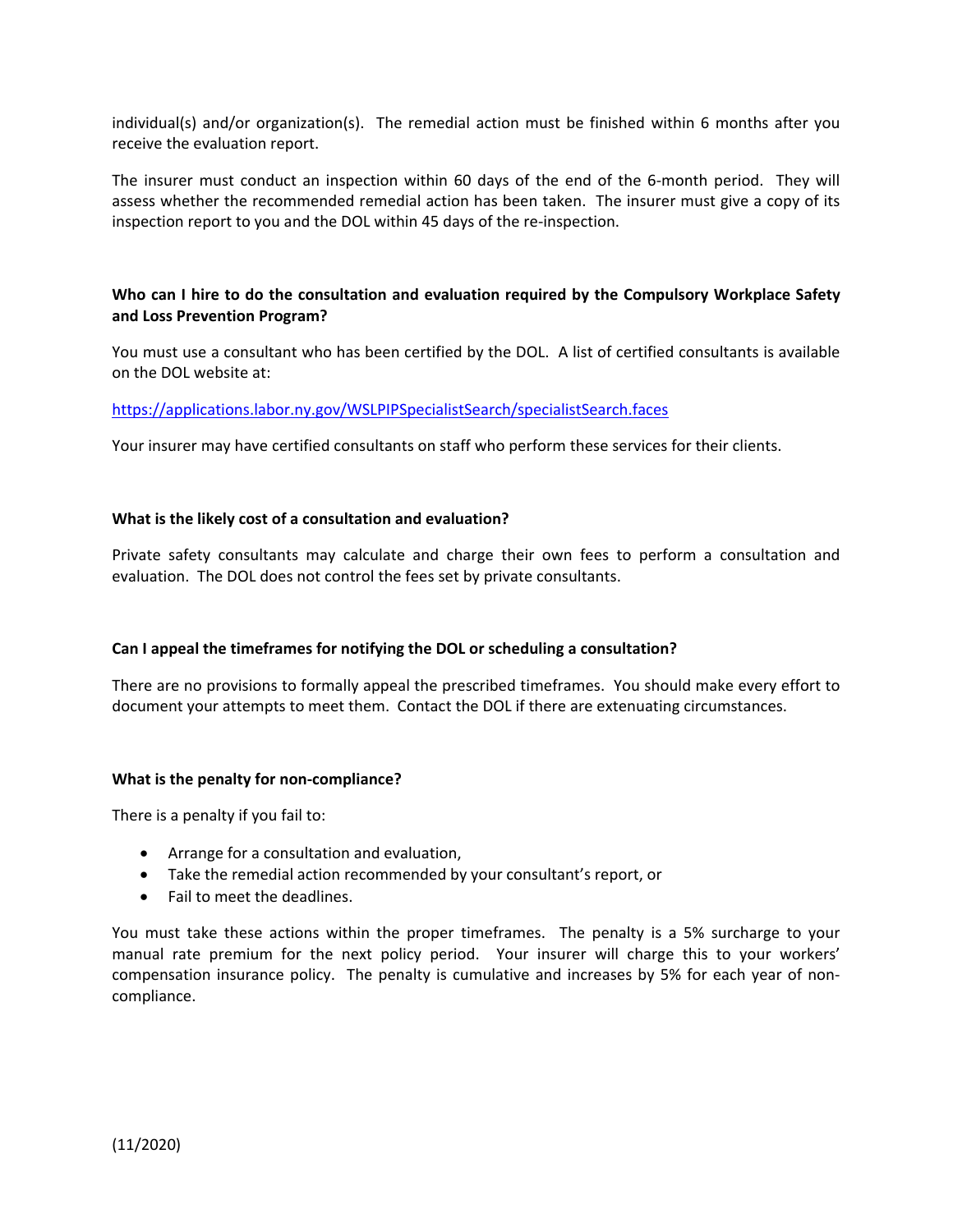individual(s) and/or organization(s). The remedial action must be finished within 6 months after you receive the evaluation report.

The insurer must conduct an inspection within 60 days of the end of the 6-month period. They will assess whether the recommended remedial action has been taken. The insurer must give a copy of its inspection report to you and the DOL within 45 days of the re-inspection.

# **Who can I hire to do the consultation and evaluation required by the Compulsory Workplace Safety and Loss Prevention Program?**

You must use a consultant who has been certified by the DOL. A list of certified consultants is available on the DOL website at:

https://applications.labor.ny.gov/WSLPIPSpecialistSearch/specialistSearch.faces

Your insurer may have certified consultants on staff who perform these services for their clients.

## **What is the likely cost of a consultation and evaluation?**

Private safety consultants may calculate and charge their own fees to perform a consultation and evaluation. The DOL does not control the fees set by private consultants.

### **Can I appeal the timeframes for notifying the DOL or scheduling a consultation?**

There are no provisions to formally appeal the prescribed timeframes. You should make every effort to document your attempts to meet them. Contact the DOL if there are extenuating circumstances.

### **What is the penalty for non-compliance?**

There is a penalty if you fail to:

- Arrange for a consultation and evaluation,
- Take the remedial action recommended by your consultant's report, or
- Fail to meet the deadlines.

You must take these actions within the proper timeframes. The penalty is a 5% surcharge to your manual rate premium for the next policy period. Your insurer will charge this to your workers' compensation insurance policy. The penalty is cumulative and increases by 5% for each year of noncompliance.